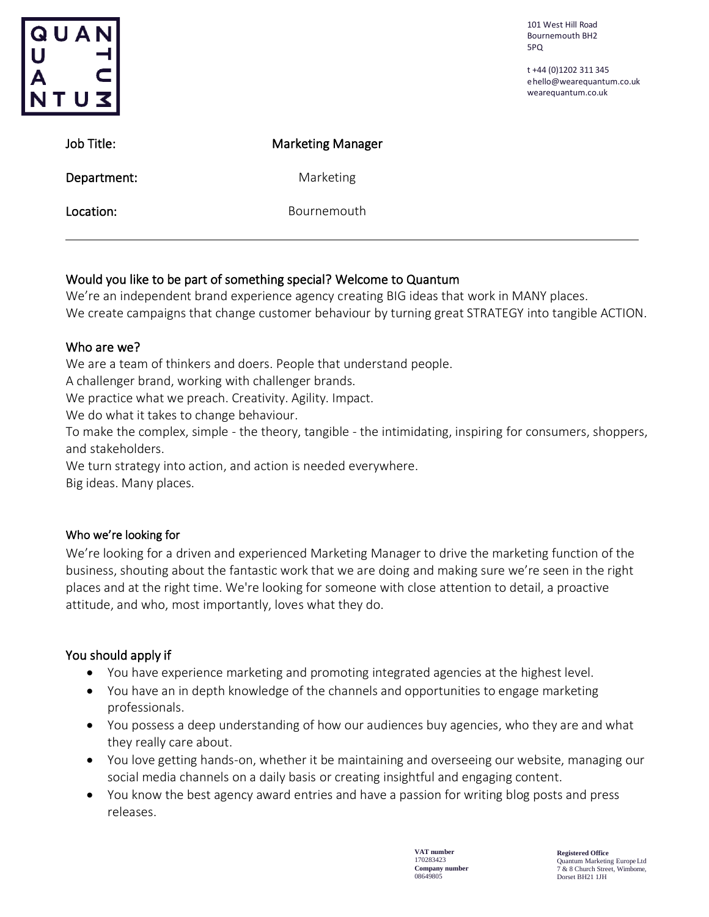| QUAN<br><b>SUTV</b> |                          | 101 West Hill Road<br><b>Bournemouth BH2</b><br>5PQ<br>t +44 (0)1202 311 345<br>ehello@wearequantum.co.uk<br>wearequantum.co.uk |
|---------------------|--------------------------|---------------------------------------------------------------------------------------------------------------------------------|
| Job Title:          | <b>Marketing Manager</b> |                                                                                                                                 |
| Department:         | Marketing                |                                                                                                                                 |
| Location:           | Bournemouth              |                                                                                                                                 |
|                     |                          |                                                                                                                                 |

# Would you like to be part of something special? Welcome to Quantum

We're an independent brand experience agency creating BIG ideas that work in MANY places. We create campaigns that change customer behaviour by turning great STRATEGY into tangible ACTION.

### Who are we?

We are a team of thinkers and doers. People that understand people.

A challenger brand, working with challenger brands.

We practice what we preach. Creativity. Agility. Impact.

We do what it takes to change behaviour.

To make the complex, simple - the theory, tangible - the intimidating, inspiring for consumers, shoppers, and stakeholders.

We turn strategy into action, and action is needed everywhere.

Big ideas. Many places.

### Who we're looking for

We're looking for a driven and experienced Marketing Manager to drive the marketing function of the business, shouting about the fantastic work that we are doing and making sure we're seen in the right places and at the right time. We're looking for someone with close attention to detail, a proactive attitude, and who, most importantly, loves what they do.

# You should apply if

- You have experience marketing and promoting integrated agencies at the highest level.
- You have an in depth knowledge of the channels and opportunities to engage marketing professionals.
- You possess a deep understanding of how our audiences buy agencies, who they are and what they really care about.
- You love getting hands-on, whether it be maintaining and overseeing our website, managing our social media channels on a daily basis or creating insightful and engaging content.
- You know the best agency award entries and have a passion for writing blog posts and press releases.